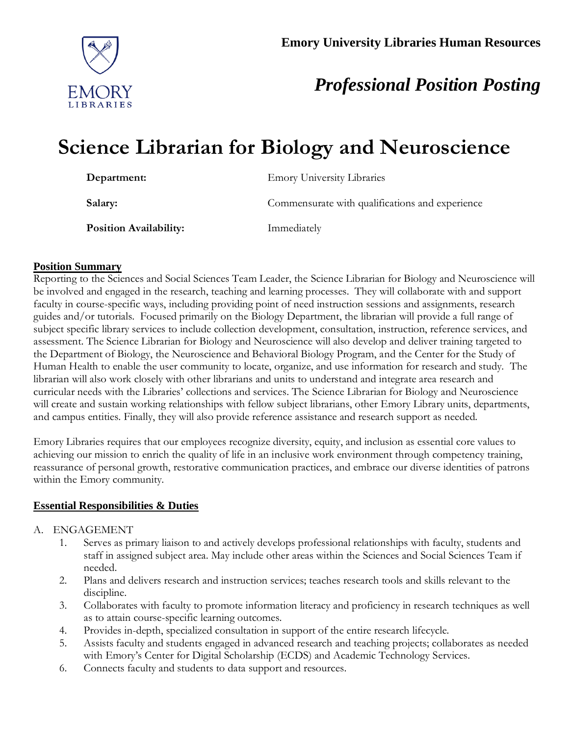

# *Professional Position Posting*

# **Science Librarian for Biology and Neuroscience**

| Department:                   | <b>Emory University Libraries</b>               |
|-------------------------------|-------------------------------------------------|
| Salary:                       | Commensurate with qualifications and experience |
| <b>Position Availability:</b> | Immediately                                     |

#### **Position Summary**

Reporting to the Sciences and Social Sciences Team Leader, the Science Librarian for Biology and Neuroscience will be involved and engaged in the research, teaching and learning processes. They will collaborate with and support faculty in course-specific ways, including providing point of need instruction sessions and assignments, research guides and/or tutorials. Focused primarily on the Biology Department, the librarian will provide a full range of subject specific library services to include collection development, consultation, instruction, reference services, and assessment. The Science Librarian for Biology and Neuroscience will also develop and deliver training targeted to the Department of Biology, the Neuroscience and Behavioral Biology Program, and the Center for the Study of Human Health to enable the user community to locate, organize, and use information for research and study. The librarian will also work closely with other librarians and units to understand and integrate area research and curricular needs with the Libraries' collections and services. The Science Librarian for Biology and Neuroscience will create and sustain working relationships with fellow subject librarians, other Emory Library units, departments, and campus entities. Finally, they will also provide reference assistance and research support as needed.

Emory Libraries requires that our employees recognize diversity, equity, and inclusion as essential core values to achieving our mission to enrich the quality of life in an inclusive work environment through competency training, reassurance of personal growth, restorative communication practices, and embrace our diverse identities of patrons within the Emory community.

# **Essential Responsibilities & Duties**

#### A. ENGAGEMENT

- 1. Serves as primary liaison to and actively develops professional relationships with faculty, students and staff in assigned subject area. May include other areas within the Sciences and Social Sciences Team if needed.
- 2. Plans and delivers research and instruction services; teaches research tools and skills relevant to the discipline.
- 3. Collaborates with faculty to promote information literacy and proficiency in research techniques as well as to attain course-specific learning outcomes.
- 4. Provides in-depth, specialized consultation in support of the entire research lifecycle.
- 5. Assists faculty and students engaged in advanced research and teaching projects; collaborates as needed with Emory's Center for Digital Scholarship (ECDS) and Academic Technology Services.
- 6. Connects faculty and students to data support and resources.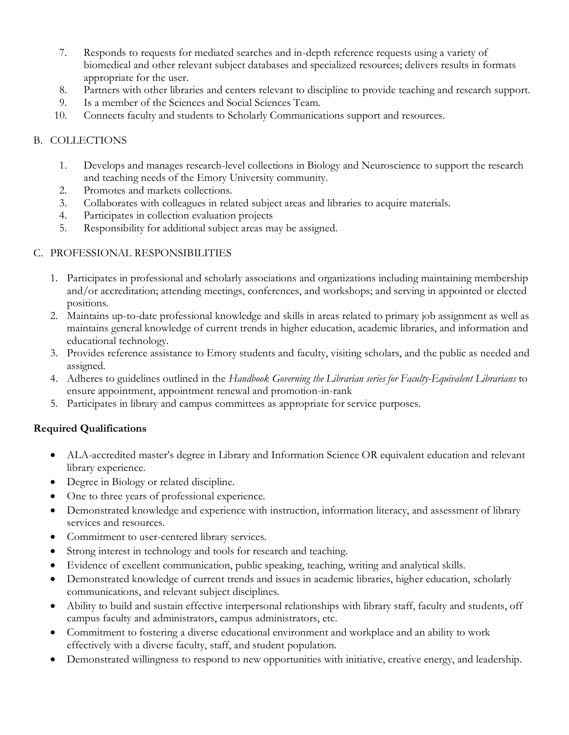- 7. Responds to requests for mediated searches and in-depth reference requests using a variety of biomedical and other relevant subject databases and specialized resources; delivers results in formats appropriate for the user.
- 8. Partners with other libraries and centers relevant to discipline to provide teaching and research support.
- 9. Is a member of the Sciences and Social Sciences Team.
- 10. Connects faculty and students to Scholarly Communications support and resources.

# B. COLLECTIONS

- 1. Develops and manages research-level collections in Biology and Neuroscience to support the research and teaching needs of the Emory University community.
- 2. Promotes and markets collections.
- 3. Collaborates with colleagues in related subject areas and libraries to acquire materials.
- 4. Participates in collection evaluation projects
- 5. Responsibility for additional subject areas may be assigned.

# C. PROFESSIONAL RESPONSIBILITIES

- 1. Participates in professional and scholarly associations and organizations including maintaining membership and/or accreditation; attending meetings, conferences, and workshops; and serving in appointed or elected positions.
- 2. Maintains up-to-date professional knowledge and skills in areas related to primary job assignment as well as maintains general knowledge of current trends in higher education, academic libraries, and information and educational technology.
- 3. Provides reference assistance to Emory students and faculty, visiting scholars, and the public as needed and assigned.
- 4. Adheres to guidelines outlined in the *Handbook Governing the Librarian series for Faculty-Equivalent Librarians* to ensure appointment, appointment renewal and promotion-in-rank
- 5. Participates in library and campus committees as appropriate for service purposes.

# **Required Qualifications**

- ALA-accredited master's degree in Library and Information Science OR equivalent education and relevant library experience.
- Degree in Biology or related discipline.
- One to three years of professional experience.
- Demonstrated knowledge and experience with instruction, information literacy, and assessment of library services and resources.
- Commitment to user-centered library services.
- Strong interest in technology and tools for research and teaching.
- Evidence of excellent communication, public speaking, teaching, writing and analytical skills.
- Demonstrated knowledge of current trends and issues in academic libraries, higher education, scholarly communications, and relevant subject disciplines.
- Ability to build and sustain effective interpersonal relationships with library staff, faculty and students, off campus faculty and administrators, campus administrators, etc.
- Commitment to fostering a diverse educational environment and workplace and an ability to work effectively with a diverse faculty, staff, and student population.
- Demonstrated willingness to respond to new opportunities with initiative, creative energy, and leadership.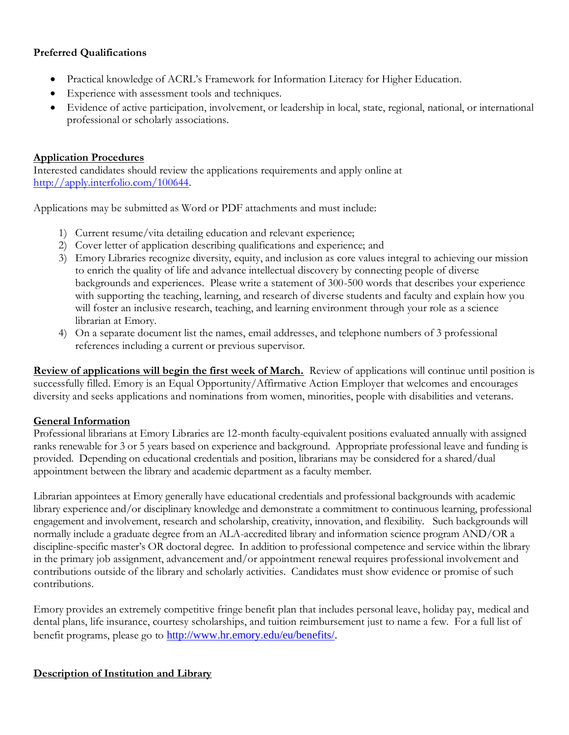# **Preferred Qualifications**

- Practical knowledge of ACRL's Framework for Information Literacy for Higher Education.
- Experience with assessment tools and techniques.
- Evidence of active participation, involvement, or leadership in local, state, regional, national, or international professional or scholarly associations.

#### **Application Procedures**

Interested candidates should review the applications requirements and apply online at [http://apply.interfolio.com/100644.](http://apply.interfolio.com/100644)

Applications may be submitted as Word or PDF attachments and must include:

- 1) Current resume/vita detailing education and relevant experience;
- 2) Cover letter of application describing qualifications and experience; and
- 3) Emory Libraries recognize diversity, equity, and inclusion as core values integral to achieving our mission to enrich the quality of life and advance intellectual discovery by connecting people of diverse backgrounds and experiences. Please write a statement of 300-500 words that describes your experience with supporting the teaching, learning, and research of diverse students and faculty and explain how you will foster an inclusive research, teaching, and learning environment through your role as a science librarian at Emory.
- 4) On a separate document list the names, email addresses, and telephone numbers of 3 professional references including a current or previous supervisor.

**Review of applications will begin the first week of March.** Review of applications will continue until position is successfully filled. Emory is an Equal Opportunity/Affirmative Action Employer that welcomes and encourages diversity and seeks applications and nominations from women, minorities, people with disabilities and veterans.

#### **General Information**

Professional librarians at Emory Libraries are 12-month faculty-equivalent positions evaluated annually with assigned ranks renewable for 3 or 5 years based on experience and background. Appropriate professional leave and funding is provided. Depending on educational credentials and position, librarians may be considered for a shared/dual appointment between the library and academic department as a faculty member.

Librarian appointees at Emory generally have educational credentials and professional backgrounds with academic library experience and/or disciplinary knowledge and demonstrate a commitment to continuous learning, professional engagement and involvement, research and scholarship, creativity, innovation, and flexibility. Such backgrounds will normally include a graduate degree from an ALA-accredited library and information science program AND/OR a discipline-specific master's OR doctoral degree. In addition to professional competence and service within the library in the primary job assignment, advancement and/or appointment renewal requires professional involvement and contributions outside of the library and scholarly activities. Candidates must show evidence or promise of such contributions.

Emory provides an extremely competitive fringe benefit plan that includes personal leave, holiday pay, medical and dental plans, life insurance, courtesy scholarships, and tuition reimbursement just to name a few. For a full list of benefit programs, please go to [http://www.hr.emory.edu/eu/benefits/.](http://www.hr.emory.edu/eu/benefits/)

# **Description of Institution and Library**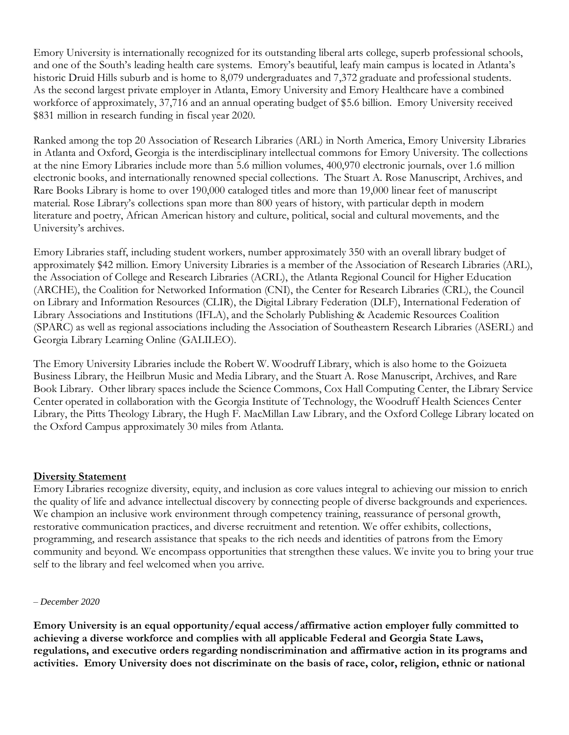Emory University is internationally recognized for its outstanding liberal arts college, superb professional schools, and one of the South's leading health care systems. Emory's beautiful, leafy main campus is located in Atlanta's historic Druid Hills suburb and is home to 8,079 undergraduates and 7,372 graduate and professional students. As the second largest private employer in Atlanta, Emory University and Emory Healthcare have a combined workforce of approximately, 37,716 and an annual operating budget of \$5.6 billion. Emory University received \$831 million in research funding in fiscal year 2020.

Ranked among the top 20 Association of Research Libraries (ARL) in North America, Emory University Libraries in Atlanta and Oxford, Georgia is the interdisciplinary intellectual commons for Emory University. The collections at the nine Emory Libraries include more than 5.6 million volumes, 400,970 electronic journals, over 1.6 million electronic books, and internationally renowned special collections. The Stuart A. Rose Manuscript, Archives, and Rare Books Library is home to over 190,000 cataloged titles and more than 19,000 linear feet of manuscript material. Rose Library's collections span more than 800 years of history, with particular depth in modern literature and poetry, African American history and culture, political, social and cultural movements, and the University's archives.

Emory Libraries staff, including student workers, number approximately 350 with an overall library budget of approximately \$42 million. Emory University Libraries is a member of the Association of Research Libraries (ARL), the Association of College and Research Libraries (ACRL), the Atlanta Regional Council for Higher Education (ARCHE), the Coalition for Networked Information (CNI), the Center for Research Libraries (CRL), the Council on Library and Information Resources (CLIR), the Digital Library Federation (DLF), International Federation of Library Associations and Institutions (IFLA), and the Scholarly Publishing & Academic Resources Coalition (SPARC) as well as regional associations including the Association of Southeastern Research Libraries (ASERL) and Georgia Library Learning Online (GALILEO).

The Emory University Libraries include the Robert W. Woodruff Library, which is also home to the Goizueta Business Library, the Heilbrun Music and Media Library, and the Stuart A. Rose Manuscript, Archives, and Rare Book Library. Other library spaces include the Science Commons, Cox Hall Computing Center, the Library Service Center operated in collaboration with the Georgia Institute of Technology, the Woodruff Health Sciences Center Library, the Pitts Theology Library, the Hugh F. MacMillan Law Library, and the Oxford College Library located on the Oxford Campus approximately 30 miles from Atlanta.

#### **Diversity Statement**

Emory Libraries recognize diversity, equity, and inclusion as core values integral to achieving our mission to enrich the quality of life and advance intellectual discovery by connecting people of diverse backgrounds and experiences. We champion an inclusive work environment through competency training, reassurance of personal growth, restorative communication practices, and diverse recruitment and retention. We offer exhibits, collections, programming, and research assistance that speaks to the rich needs and identities of patrons from the Emory community and beyond. We encompass opportunities that strengthen these values. We invite you to bring your true self to the library and feel welcomed when you arrive.

#### *– December 2020*

**Emory University is an equal opportunity/equal access/affirmative action employer fully committed to achieving a diverse workforce and complies with all applicable Federal and Georgia State Laws, regulations, and executive orders regarding nondiscrimination and affirmative action in its programs and activities. Emory University does not discriminate on the basis of race, color, religion, ethnic or national**